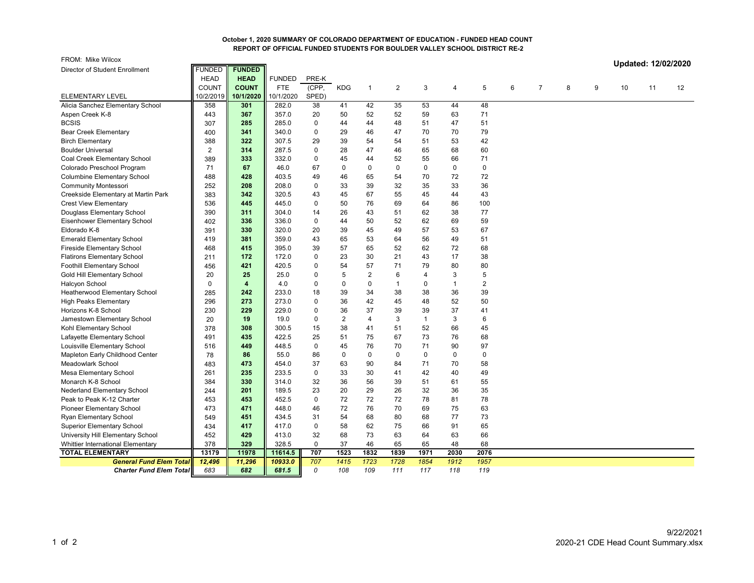## **October 1, 2020 SUMMARY OF COLORADO DEPARTMENT OF EDUCATION - FUNDED HEAD COUNT REPORT OF OFFICIAL FUNDED STUDENTS FOR BOULDER VALLEY SCHOOL DISTRICT RE-2**

| FROM: Mike Wilcox                   |                |               |               |             |                |                |                |              |              |                  |   |                |   |   |    | Updated: 12/02/2020 |    |
|-------------------------------------|----------------|---------------|---------------|-------------|----------------|----------------|----------------|--------------|--------------|------------------|---|----------------|---|---|----|---------------------|----|
| Director of Student Enrollment      | <b>FUNDED</b>  | <b>FUNDED</b> |               |             |                |                |                |              |              |                  |   |                |   |   |    |                     |    |
|                                     | <b>HEAD</b>    | <b>HEAD</b>   | <b>FUNDED</b> | PRE-K       |                |                |                |              |              |                  |   |                |   |   |    |                     |    |
|                                     | <b>COUNT</b>   | <b>COUNT</b>  | <b>FTE</b>    | (CPP,       | <b>KDG</b>     | $\mathbf{1}$   | $\overline{2}$ | 3            | 4            | 5                | 6 | $\overline{7}$ | 8 | 9 | 10 | 11                  | 12 |
| <b>ELEMENTARY LEVEL</b>             | 10/2/2019      | 10/1/2020     | 10/1/2020     | SPED)       |                |                |                |              |              |                  |   |                |   |   |    |                     |    |
| Alicia Sanchez Elementary School    | 358            | 301           | 282.0         | 38          | 41             | 42             | 35             | 53           | 44           | 48               |   |                |   |   |    |                     |    |
| Aspen Creek K-8                     | 443            | 367           | 357.0         | 20          | 50             | 52             | 52             | 59           | 63           | 71               |   |                |   |   |    |                     |    |
| <b>BCSIS</b>                        | 307            | 285           | 285.0         | $\mathbf 0$ | 44             | 44             | 48             | 51           | 47           | 51               |   |                |   |   |    |                     |    |
| <b>Bear Creek Elementary</b>        | 400            | 341           | 340.0         | $\pmb{0}$   | 29             | 46             | 47             | 70           | 70           | 79               |   |                |   |   |    |                     |    |
| <b>Birch Elementary</b>             | 388            | 322           | 307.5         | 29          | 39             | 54             | 54             | 51           | 53           | 42               |   |                |   |   |    |                     |    |
| <b>Boulder Universal</b>            | $\overline{2}$ | 314           | 287.5         | $\mathbf 0$ | 28             | 47             | 46             | 65           | 68           | 60               |   |                |   |   |    |                     |    |
| Coal Creek Elementary School        | 389            | 333           | 332.0         | $\mathbf 0$ | 45             | 44             | 52             | 55           | 66           | 71               |   |                |   |   |    |                     |    |
| Colorado Preschool Program          | 71             | 67            | 46.0          | 67          | $\mathbf 0$    | $\mathbf 0$    | $\mathbf 0$    | $\Omega$     | $\mathbf 0$  | $\mathbf 0$      |   |                |   |   |    |                     |    |
| <b>Columbine Elementary School</b>  | 488            | 428           | 403.5         | 49          | 46             | 65             | 54             | 70           | 72           | 72               |   |                |   |   |    |                     |    |
| <b>Community Montessori</b>         | 252            | 208           | 208.0         | $\mathbf 0$ | 33             | 39             | 32             | 35           | 33           | 36               |   |                |   |   |    |                     |    |
| Creekside Elementary at Martin Park | 383            | 342           | 320.5         | 43          | 45             | 67             | 55             | 45           | 44           | 43               |   |                |   |   |    |                     |    |
| <b>Crest View Elementary</b>        | 536            | 445           | 445.0         | 0           | 50             | 76             | 69             | 64           | 86           | 100              |   |                |   |   |    |                     |    |
| Douglass Elementary School          | 390            | 311           | 304.0         | 14          | 26             | 43             | 51             | 62           | 38           | 77               |   |                |   |   |    |                     |    |
| Eisenhower Elementary School        | 402            | 336           | 336.0         | 0           | 44             | 50             | 52             | 62           | 69           | 59               |   |                |   |   |    |                     |    |
| Eldorado K-8                        | 391            | 330           | 320.0         | 20          | 39             | 45             | 49             | 57           | 53           | 67               |   |                |   |   |    |                     |    |
| <b>Emerald Elementary School</b>    | 419            | 381           | 359.0         | 43          | 65             | 53             | 64             | 56           | 49           | 51               |   |                |   |   |    |                     |    |
| <b>Fireside Elementary School</b>   | 468            | 415           | 395.0         | 39          | 57             | 65             | 52             | 62           | 72           | 68               |   |                |   |   |    |                     |    |
| <b>Flatirons Elementary School</b>  | 211            | 172           | 172.0         | $\pmb{0}$   | 23             | 30             | 21             | 43           | 17           | 38               |   |                |   |   |    |                     |    |
| <b>Foothill Elementary School</b>   | 456            | 421           | 420.5         | $\mathbf 0$ | 54             | 57             | 71             | 79           | 80           | 80               |   |                |   |   |    |                     |    |
| Gold Hill Elementary School         | 20             | 25            | 25.0          | $\pmb{0}$   | 5              | $\overline{2}$ | 6              | 4            | 3            | 5                |   |                |   |   |    |                     |    |
| Halcyon School                      | $\mathbf 0$    | 4             | 4.0           | $\mathbf 0$ | $\mathbf 0$    | 0              | $\overline{1}$ | 0            | $\mathbf{1}$ | $\boldsymbol{2}$ |   |                |   |   |    |                     |    |
| Heatherwood Elementary School       | 285            | 242           | 233.0         | 18          | 39             | 34             | 38             | 38           | 36           | 39               |   |                |   |   |    |                     |    |
| <b>High Peaks Elementary</b>        | 296            | 273           | 273.0         | $\mathbf 0$ | 36             | 42             | 45             | 48           | 52           | 50               |   |                |   |   |    |                     |    |
| Horizons K-8 School                 | 230            | 229           | 229.0         | $\mathbf 0$ | 36             | 37             | 39             | 39           | 37           | 41               |   |                |   |   |    |                     |    |
| Jamestown Elementary School         | 20             | 19            | 19.0          | $\mathbf 0$ | $\overline{2}$ | 4              | $\sqrt{3}$     | $\mathbf{1}$ | 3            | 6                |   |                |   |   |    |                     |    |
| Kohl Elementary School              | 378            | 308           | 300.5         | 15          | 38             | 41             | 51             | 52           | 66           | 45               |   |                |   |   |    |                     |    |
| Lafayette Elementary School         | 491            | 435           | 422.5         | 25          | 51             | 75             | 67             | 73           | 76           | 68               |   |                |   |   |    |                     |    |
| Louisville Elementary School        | 516            | 449           | 448.5         | $\mathbf 0$ | 45             | 76             | 70             | 71           | 90           | 97               |   |                |   |   |    |                     |    |
| Mapleton Early Childhood Center     | 78             | 86            | 55.0          | 86          | $\mathbf 0$    | $\mathbf 0$    | $\mathbf 0$    | 0            | $\mathbf 0$  | $\mathbf 0$      |   |                |   |   |    |                     |    |
| Meadowlark School                   | 483            | 473           | 454.0         | 37          | 63             | 90             | 84             | 71           | 70           | 58               |   |                |   |   |    |                     |    |
| Mesa Elementary School              | 261            | 235           | 233.5         | 0           | 33             | 30             | 41             | 42           | 40           | 49               |   |                |   |   |    |                     |    |
| Monarch K-8 School                  | 384            | 330           | 314.0         | 32          | 36             | 56             | 39             | 51           | 61           | 55               |   |                |   |   |    |                     |    |
| <b>Nederland Elementary School</b>  | 244            | 201           | 189.5         | 23          | 20             | 29             | 26             | 32           | 36           | 35               |   |                |   |   |    |                     |    |
| Peak to Peak K-12 Charter           | 453            | 453           | 452.5         | 0           | 72             | 72             | 72             | 78           | 81           | 78               |   |                |   |   |    |                     |    |
| Pioneer Elementary School           | 473            | 471           | 448.0         | 46          | 72             | 76             | 70             | 69           | 75           | 63               |   |                |   |   |    |                     |    |
| Ryan Elementary School              | 549            | 451           | 434.5         | 31          | 54             | 68             | 80             | 68           | 77           | 73               |   |                |   |   |    |                     |    |
| <b>Superior Elementary School</b>   | 434            | 417           | 417.0         | $\pmb{0}$   | 58             | 62             | 75             | 66           | 91           | 65               |   |                |   |   |    |                     |    |
| University Hill Elementary School   | 452            | 429           | 413.0         | 32          | 68             | 73             | 63             | 64           | 63           | 66               |   |                |   |   |    |                     |    |
| Whittier International Elementary   | 378            | 329           | 328.5         | 0           | 37             | 46             | 65             | 65           | 48           | 68               |   |                |   |   |    |                     |    |
| <b>TOTAL ELEMENTARY</b>             | 13179          | 11978         | 11614.5       | 707         | 1523           | 1832           | 1839           | 1971         | 2030         | 2076             |   |                |   |   |    |                     |    |
| <b>General Fund Elem Total</b>      | 12,496         | 11,296        | 10933.0       | 707         | 1415           | 1723           | 1728           | 1854         | 1912         | 1957             |   |                |   |   |    |                     |    |
| <b>Charter Fund Elem Total</b>      | 683            | 682           | 681.5         | 0           | 108            | 109            | 111            | 117          | 118          | 119              |   |                |   |   |    |                     |    |